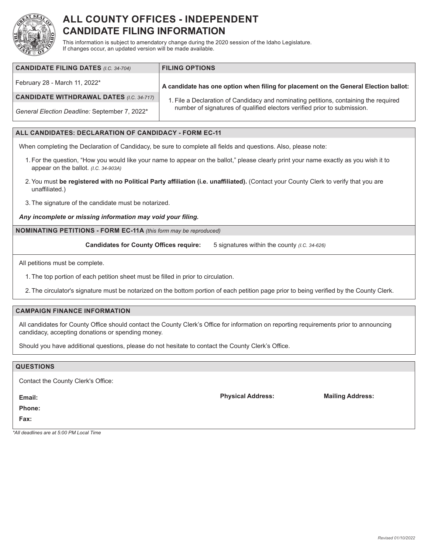

# **ALL COUNTY OFFICES - INDEPENDENT CANDIDATE FILING INFORMATION**

This information is subject to amendatory change during the 2020 session of the Idaho Legislature. If changes occur, an updated version will be made available.

| <b>CANDIDATE FILING DATES (I.C. 34-704)</b>     | <b>FILING OPTIONS</b>                                                                |
|-------------------------------------------------|--------------------------------------------------------------------------------------|
| February 28 - March 11, 2022*                   | A candidate has one option when filing for placement on the General Election ballot: |
| <b>CANDIDATE WITHDRAWAL DATES (I.C. 34-717)</b> | 1. File a Declaration of Candidacy and nominating petitions, containing the required |
| General Election Deadline: September 7, 2022*   | number of signatures of qualified electors verified prior to submission.             |

### **ALL CANDIDATES: DECLARATION OF CANDIDACY - FORM EC-11**

When completing the Declaration of Candidacy, be sure to complete all fields and questions. Also, please note:

- 1. For the question, "How you would like your name to appear on the ballot," please clearly print your name exactly as you wish it to appear on the ballot. *(I.C. 34-903A)*
- 2.You must **be registered with no Political Party affiliation (i.e. unaffiliated).** (Contact your County Clerk to verify that you are unaffiliated.)
- 3. The signature of the candidate must be notarized.

*Any incomplete or missing information may void your filing.*

**NOMINATING PETITIONS - FORM EC-11A** *(this form may be reproduced)*

**Candidates for County Offices require:** 5 signatures within the county *(I.C. 34-626)*

All petitions must be complete.

1. The top portion of each petition sheet must be filled in prior to circulation.

2. The circulator's signature must be notarized on the bottom portion of each petition page prior to being verified by the County Clerk.

### **CAMPAIGN FINANCE INFORMATION**

All candidates for County Office should contact the County Clerk's Office for information on reporting requirements prior to announcing candidacy, accepting donations or spending money.

Should you have additional questions, please do not hesitate to contact the County Clerk's Office.

## **QUESTIONS** Contact the County Clerk's Office: **Email: Phone: Physical Address: Mailing Address:**

**Fax:**

*\*All deadlines are at 5:00 PM Local Time*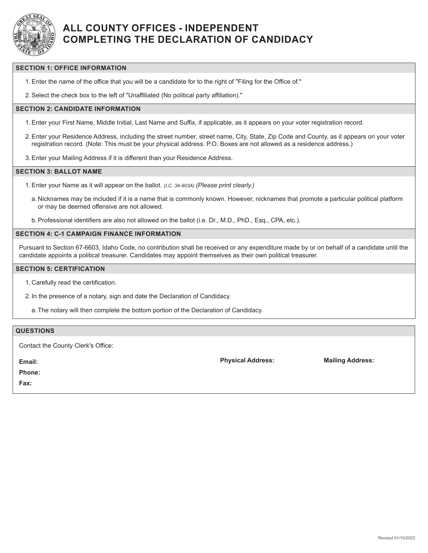

# **ALL COUNTY OFFICES - INDEPENDENT COMPLETING THE DECLARATION OF CANDIDACY**

#### **SECTION 1: OFFICE INFORMATION**

1.Enter the name of the office that you will be a candidate for to the right of "Filing for the Office of."

2.Select the check box to the left of "Unaffiliated (No political party affiliation)."

### **SECTION 2: CANDIDATE INFORMATION**

- 1.Enter your First Name, Middle Initial, Last Name and Suffix, if applicable, as it appears on your voter registration record.
- 2.Enter your Residence Address, including the street number, street name, City, State, Zip Code and County, as it appears on your voter registration record. (Note: This must be your physical address. P.O. Boxes are not allowed as a residence address.)
- 3.Enter your Mailing Address if it is different than your Residence Address.

#### **SECTION 3: BALLOT NAME**

- 1.Enter your Name as it will appear on the ballot. *(I.C. 34-903A) (Please print clearly.)*
	- a. Nicknames may be included if it is a name that is commonly known. However, nicknames that promote a particular political platform or may be deemed offensive are not allowed.
- b.Professional identifiers are also not allowed on the ballot (i.e. Dr., M.D., PhD., Esq., CPA, etc.).

### **SECTION 4: C-1 CAMPAIGN FINANCE INFORMATION**

Pursuant to Section 67-6603, Idaho Code, no contribution shall be received or any expenditure made by or on behalf of a candidate until the candidate appoints a political treasurer. Candidates may appoint themselves as their own political treasurer.

### **SECTION 5: CERTIFICATION**

- 1. Carefully read the certification.
- 2. In the presence of a notary, sign and date the Declaration of Candidacy.
	- a. The notary will then complete the bottom portion of the Declaration of Candidacy.

| <b>QUESTIONS</b>                   |                          |                         |
|------------------------------------|--------------------------|-------------------------|
| Contact the County Clerk's Office: |                          |                         |
| Email:                             | <b>Physical Address:</b> | <b>Mailing Address:</b> |
| <b>Phone:</b>                      |                          |                         |
| Fax:                               |                          |                         |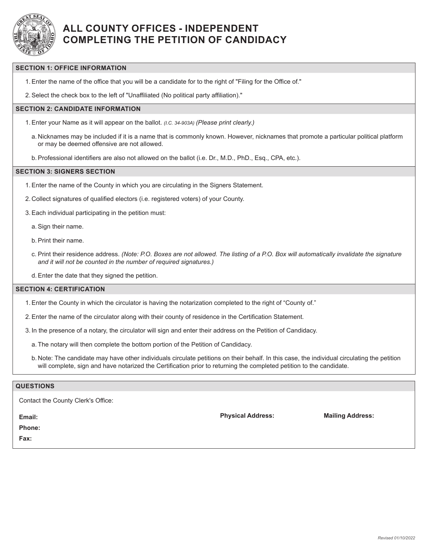

# **ALL COUNTY OFFICES - INDEPENDENT COMPLETING THE PETITION OF CANDIDACY**

### **SECTION 1: OFFICE INFORMATION**

1.Enter the name of the office that you will be a candidate for to the right of "Filing for the Office of."

2.Select the check box to the left of "Unaffiliated (No political party affiliation)."

#### **SECTION 2: CANDIDATE INFORMATION**

- 1.Enter your Name as it will appear on the ballot. *(I.C. 34-903A) (Please print clearly.)*
	- a. Nicknames may be included if it is a name that is commonly known. However, nicknames that promote a particular political platform or may be deemed offensive are not allowed.
	- b.Professional identifiers are also not allowed on the ballot (i.e. Dr., M.D., PhD., Esq., CPA, etc.).

#### **SECTION 3: SIGNERS SECTION**

- 1.Enter the name of the County in which you are circulating in the Signers Statement.
- 2. Collect signatures of qualified electors (i.e. registered voters) of your County.
- 3.Each individual participating in the petition must:

a.Sign their name.

- b.Print their name.
- c. Print their residence address. *(Note: P.O. Boxes are not allowed. The listing of a P.O. Box will automatically invalidate the signature and it will not be counted in the number of required signatures.)*
- d.Enter the date that they signed the petition.

#### **SECTION 4: CERTIFICATION**

- 1.Enter the County in which the circulator is having the notarization completed to the right of "County of."
- 2.Enter the name of the circulator along with their county of residence in the Certification Statement.
- 3. In the presence of a notary, the circulator will sign and enter their address on the Petition of Candidacy.
	- a. The notary will then complete the bottom portion of the Petition of Candidacy.
	- b. Note: The candidate may have other individuals circulate petitions on their behalf. In this case, the individual circulating the petition will complete, sign and have notarized the Certification prior to returning the completed petition to the candidate.

#### **QUESTIONS**

**Email:**

**Phone:**

**Fax:**

**Physical Address: Mailing Address:**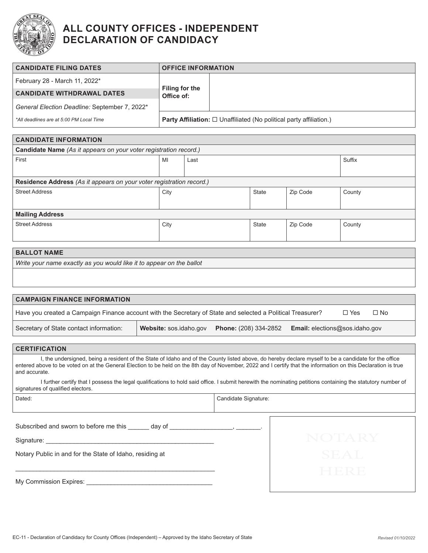

# **ALL COUNTY OFFICES - INDEPENDENT DECLARATION OF CANDIDACY**

| <b>CANDIDATE FILING DATES</b>                 | <b>OFFICE INFORMATION</b>                                                       |  |  |
|-----------------------------------------------|---------------------------------------------------------------------------------|--|--|
| February 28 - March 11, 2022*                 | <b>Filing for the</b><br>Office of:                                             |  |  |
| <b>CANDIDATE WITHDRAWAL DATES</b>             |                                                                                 |  |  |
| General Election Deadline: September 7, 2022* |                                                                                 |  |  |
| *All deadlines are at 5:00 PM Local Time      | <b>Party Affiliation:</b> $\Box$ Unaffiliated (No political party affiliation.) |  |  |

| <b>CANDIDATE INFORMATION</b>                                         |      |      |              |          |        |
|----------------------------------------------------------------------|------|------|--------------|----------|--------|
| Candidate Name (As it appears on your voter registration record.)    |      |      |              |          |        |
| First                                                                | MI   | Last |              |          | Suffix |
|                                                                      |      |      |              |          |        |
| Residence Address (As it appears on your voter registration record.) |      |      |              |          |        |
| <b>Street Address</b>                                                | City |      | State        | Zip Code | County |
|                                                                      |      |      |              |          |        |
| <b>Mailing Address</b>                                               |      |      |              |          |        |
| <b>Street Address</b>                                                | City |      | <b>State</b> | Zip Code | County |
|                                                                      |      |      |              |          |        |

### **BALLOT NAME**

*Write your name exactly as you would like it to appear on the ballot*

| <b>CAMPAIGN FINANCE INFORMATION</b>                                                                         |                        |                              |                                       |               |           |
|-------------------------------------------------------------------------------------------------------------|------------------------|------------------------------|---------------------------------------|---------------|-----------|
| Have you created a Campaign Finance account with the Secretary of State and selected a Political Treasurer? |                        |                              |                                       | $\square$ Yes | $\Box$ No |
| Secretary of State contact information:                                                                     | Website: sos.idaho.gov | <b>Phone:</b> (208) 334-2852 | <b>Email:</b> elections@sos.idaho.gov |               |           |

| <b>CERTIFICATION</b>                                                                                                                                                                                                                                                                                                                     |
|------------------------------------------------------------------------------------------------------------------------------------------------------------------------------------------------------------------------------------------------------------------------------------------------------------------------------------------|
| I, the undersigned, being a resident of the State of Idaho and of the County listed above, do hereby declare myself to be a candidate for the office<br>entered above to be voted on at the General Election to be held on the 8th day of November, 2022 and I certify that the information on this Declaration is true<br>and accurate. |
|                                                                                                                                                                                                                                                                                                                                          |

I further certify that I possess the legal qualifications to hold said office. I submit herewith the nominating petitions containing the statutory number of signatures of qualified electors.

| ۰,<br>٦ |
|---------|
|         |

Candidate Signature:

Subscribed and sworn to before me this \_\_\_\_\_\_ day of \_\_\_\_\_\_\_\_\_\_\_\_\_\_\_\_\_\_\_, \_\_\_\_\_\_\_.

\_\_\_\_\_\_\_\_\_\_\_\_\_\_\_\_\_\_\_\_\_\_\_\_\_\_\_\_\_\_\_\_\_\_\_\_\_\_\_\_\_\_\_\_\_\_\_\_\_\_\_\_\_\_\_\_\_

Signature: \_\_\_\_\_\_\_\_\_\_\_\_\_\_\_\_\_\_\_\_\_\_\_\_\_\_\_\_\_\_\_\_\_\_\_\_\_\_\_\_\_\_\_\_\_\_\_\_

Notary Public in and for the State of Idaho, residing at

My Commission Expires: \_\_\_\_\_\_\_\_\_\_\_\_\_\_\_\_\_\_\_\_\_\_\_\_\_\_\_\_\_\_\_\_\_\_\_\_

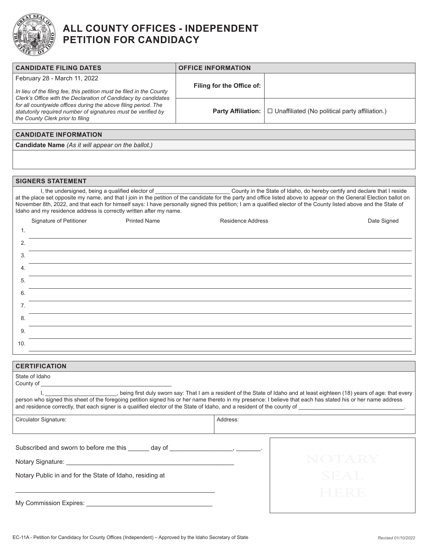

# **ALL COUNTY OFFICES - INDEPENDENT PETITION FOR CANDIDACY**

| <b>CANDIDATE FILING DATES</b>                                                                                                                                                                                                                                                                | <b>OFFICE INFORMATION</b> |                                                                           |  |  |  |
|----------------------------------------------------------------------------------------------------------------------------------------------------------------------------------------------------------------------------------------------------------------------------------------------|---------------------------|---------------------------------------------------------------------------|--|--|--|
| February 28 - March 11, 2022                                                                                                                                                                                                                                                                 |                           |                                                                           |  |  |  |
| In lieu of the filing fee, this petition must be filed in the County                                                                                                                                                                                                                         | Filing for the Office of: |                                                                           |  |  |  |
| Clerk's Office with the Declaration of Candidacy by candidates                                                                                                                                                                                                                               |                           |                                                                           |  |  |  |
| for all countywide offices during the above filing period. The<br>statutorily required number of signatures must be verified by                                                                                                                                                              | <b>Party Affiliation:</b> | $\Box$ Unaffiliated (No political party affiliation.)                     |  |  |  |
| the County Clerk prior to filing                                                                                                                                                                                                                                                             |                           |                                                                           |  |  |  |
| <b>CANDIDATE INFORMATION</b>                                                                                                                                                                                                                                                                 |                           |                                                                           |  |  |  |
| Candidate Name (As it will appear on the ballot.)                                                                                                                                                                                                                                            |                           |                                                                           |  |  |  |
|                                                                                                                                                                                                                                                                                              |                           |                                                                           |  |  |  |
|                                                                                                                                                                                                                                                                                              |                           |                                                                           |  |  |  |
|                                                                                                                                                                                                                                                                                              |                           |                                                                           |  |  |  |
| <b>SIGNERS STATEMENT</b>                                                                                                                                                                                                                                                                     |                           |                                                                           |  |  |  |
| I, the undersigned, being a qualified elector of<br>at the place set opposite my name, and that I join in the petition of the candidate for the party and office listed above to appear on the General Election ballot on                                                                    |                           | County in the State of Idaho, do hereby certify and declare that I reside |  |  |  |
| November 8th, 2022, and that each for himself says: I have personally signed this petition; I am a qualified elector of the County listed above and the State of                                                                                                                             |                           |                                                                           |  |  |  |
| Idaho and my residence address is correctly written after my name.                                                                                                                                                                                                                           |                           |                                                                           |  |  |  |
| Signature of Petitioner<br><b>Printed Name</b>                                                                                                                                                                                                                                               | <b>Residence Address</b>  | Date Signed                                                               |  |  |  |
| 1.                                                                                                                                                                                                                                                                                           |                           |                                                                           |  |  |  |
| 2.                                                                                                                                                                                                                                                                                           |                           |                                                                           |  |  |  |
| 3.                                                                                                                                                                                                                                                                                           |                           |                                                                           |  |  |  |
| 4.                                                                                                                                                                                                                                                                                           |                           |                                                                           |  |  |  |
| 5.                                                                                                                                                                                                                                                                                           |                           |                                                                           |  |  |  |
|                                                                                                                                                                                                                                                                                              |                           |                                                                           |  |  |  |
|                                                                                                                                                                                                                                                                                              | 6.                        |                                                                           |  |  |  |
| 7.                                                                                                                                                                                                                                                                                           |                           |                                                                           |  |  |  |
| 8.                                                                                                                                                                                                                                                                                           |                           |                                                                           |  |  |  |
| 9.                                                                                                                                                                                                                                                                                           |                           |                                                                           |  |  |  |
| 10.                                                                                                                                                                                                                                                                                          |                           |                                                                           |  |  |  |
|                                                                                                                                                                                                                                                                                              |                           |                                                                           |  |  |  |
| <b>CERTIFICATION</b>                                                                                                                                                                                                                                                                         |                           |                                                                           |  |  |  |
| State of Idaho                                                                                                                                                                                                                                                                               |                           |                                                                           |  |  |  |
| County of                                                                                                                                                                                                                                                                                    |                           |                                                                           |  |  |  |
| , being first duly sworn say: That I am a resident of the State of Idaho and at least eighteen (18) years of age: that every<br>person who signed this sheet of the foregoing petition signed his or her name thereto in my presence: I believe that each has stated his or her name address |                           |                                                                           |  |  |  |
| and residence correctly, that each signer is a qualified elector of the State of Idaho, and a resident of the county of                                                                                                                                                                      |                           |                                                                           |  |  |  |
| Circulator Signature:                                                                                                                                                                                                                                                                        | Address:                  |                                                                           |  |  |  |
|                                                                                                                                                                                                                                                                                              |                           |                                                                           |  |  |  |
|                                                                                                                                                                                                                                                                                              |                           |                                                                           |  |  |  |
| Subscribed and sworn to before me this ______ day of ____________________________                                                                                                                                                                                                            |                           |                                                                           |  |  |  |
|                                                                                                                                                                                                                                                                                              |                           | NOTARY                                                                    |  |  |  |
|                                                                                                                                                                                                                                                                                              |                           |                                                                           |  |  |  |
| Notary Public in and for the State of Idaho, residing at                                                                                                                                                                                                                                     |                           | SEAL                                                                      |  |  |  |
|                                                                                                                                                                                                                                                                                              |                           | HERE                                                                      |  |  |  |
|                                                                                                                                                                                                                                                                                              |                           |                                                                           |  |  |  |
|                                                                                                                                                                                                                                                                                              |                           |                                                                           |  |  |  |